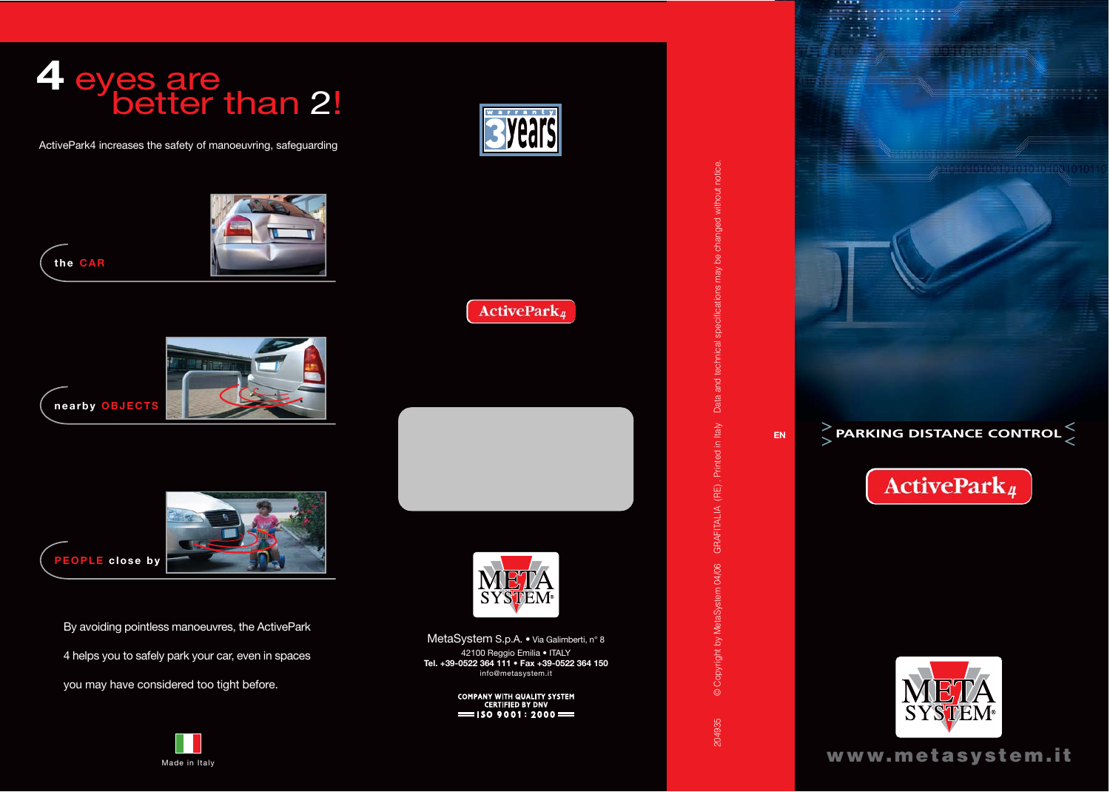

ActivePark4 increases the safety of manoeuvring, safeguarding







By avoiding pointless manoeuvres, the ActivePark

4 helps you to safely park your car, even in spaces

you may have considered too tight before.





**ActivePark**<sup>1</sup>



MetaSystem S.p.A. • Via Galimberti, n° 8 42100 Reggio Emilia • ITALY **Tel. +39-0522 364 111 • Fax +39-0522 364 150** info@metasystem.it

> COMPANY WITH QUALITY SYSTEM<br>CERTIFIED BY DNV  $=$ ISO 9001:2000 $=$

Data and technical specifications may be changed without notice. 204935 © Copyright by MetaSystem 04/06 GRAFITALIA (RE) . Printed in Italy Data and technical specifications may be changed without notice. © Copyright by MetaSystem 04/06 GRAFITALIA (RE). Printed in Italy 204935



**EN PARKING DISTANCE CONTROL**

ActivePark<sub>4</sub>

**A.A. . . . . . . . . . . . . .** 

 $\cdots$ 

**www.metasystem.it**